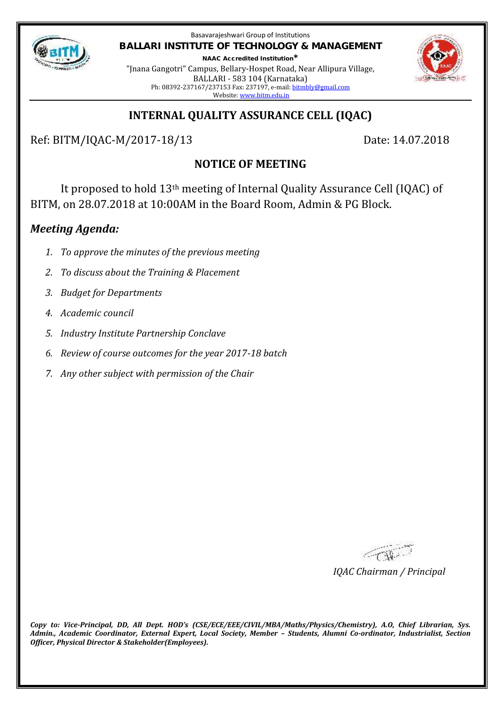

Basavarajeshwari Group of Institutions **BALLARI INSTITUTE OF TECHNOLOGY & MANAGEMENT NAAC Accredited Institution\***

"Jnana Gangotri" Campus, Bellary-Hospet Road, Near Allipura Village, BALLARI - 583 104 (Karnataka) Ph: 08392-237167/237153 Fax: 237197, e-mail: bitmbly@gmail.com Website: www.bitm.edu.in



# **INTERNAL QUALITY ASSURANCE CELL (IQAC)**

Ref: BITM/IQAC-M/2017-18/13 Date: 14.07.2018

# **NOTICE OF MEETING**

It proposed to hold 13th meeting of Internal Quality Assurance Cell (IQAC) of BITM, on 28.07.2018 at 10:00AM in the Board Room, Admin & PG Block.

## *Meeting Agenda:*

- *1. To approve the minutes of the previous meeting*
- *2. To discuss about the Training & Placement*
- *3. Budget for Departments*
- *4. Academic council*
- *5. Industry Institute Partnership Conclave*
- *6. Review of course outcomes for the year 2017-18 batch*
- *7. Any other subject with permission of the Chair*

FOR-

*IQAC Chairman / Principal*

*Copy to: Vice-Principal, DD, All Dept. HOD's (CSE/ECE/EEE/CIVIL/MBA/Maths/Physics/Chemistry), A.O, Chief Librarian, Sys. Admin., Academic Coordinator, External Expert, Local Society, Member – Students, Alumni Co-ordinator, Industrialist, Section Officer, Physical Director & Stakeholder(Employees).*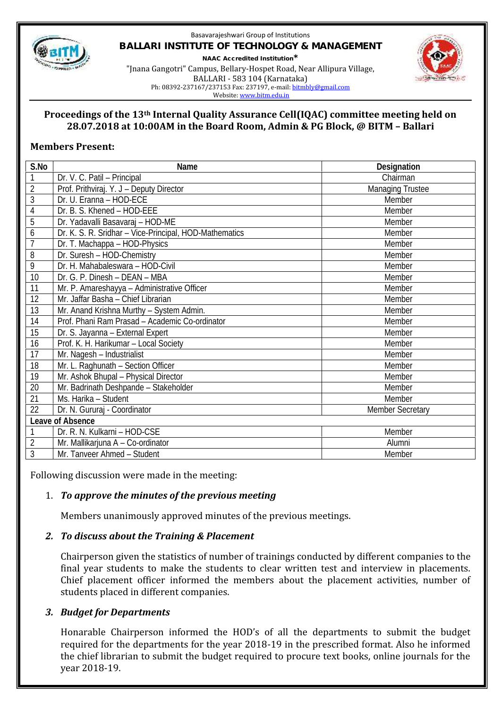

### Basavarajeshwari Group of Institutions **BALLARI INSTITUTE OF TECHNOLOGY & MANAGEMENT NAAC Accredited Institution\*** "Jnana Gangotri" Campus, Bellary-Hospet Road, Near Allipura Village, BALLARI - 583 104 (Karnataka)



Ph: 08392-237167/237153 Fax: 237197, e-mail: bitmbly@gmail.com

Website: www.bitm.edu.in

### **Proceedings of the 13th Internal Quality Assurance Cell(IQAC) committee meeting held on 28.07.2018 at 10:00AM in the Board Room, Admin & PG Block, @ BITM – Ballari**

### **Members Present:**

| S.No             | Name                                                   | Designation             |
|------------------|--------------------------------------------------------|-------------------------|
| 1                | Dr. V. C. Patil - Principal                            | Chairman                |
| $\overline{2}$   | Prof. Prithviraj. Y. J - Deputy Director               | <b>Managing Trustee</b> |
| 3                | Dr. U. Eranna - HOD-ECE                                | Member                  |
| 4                | Dr. B. S. Khened - HOD-EEE                             | Member                  |
| 5                | Dr. Yadavalli Basavaraj - HOD-ME                       | Member                  |
| 6                | Dr. K. S. R. Sridhar - Vice-Principal, HOD-Mathematics | Member                  |
| $\overline{1}$   | Dr. T. Machappa - HOD-Physics                          | Member                  |
| 8                | Dr. Suresh - HOD-Chemistry                             | Member                  |
| 9                | Dr. H. Mahabaleswara - HOD-Civil                       | Member                  |
| 10               | Dr. G. P. Dinesh - DEAN - MBA                          | Member                  |
| 11               | Mr. P. Amareshayya - Administrative Officer            | Member                  |
| 12               | Mr. Jaffar Basha - Chief Librarian                     | Member                  |
| 13               | Mr. Anand Krishna Murthy - System Admin.               | Member                  |
| 14               | Prof. Phani Ram Prasad - Academic Co-ordinator         | Member                  |
| 15               | Dr. S. Jayanna - External Expert                       | Member                  |
| 16               | Prof. K. H. Harikumar - Local Society                  | Member                  |
| 17               | Mr. Nagesh - Industrialist                             | Member                  |
| 18               | Mr. L. Raghunath - Section Officer                     | Member                  |
| 19               | Mr. Ashok Bhupal - Physical Director                   | Member                  |
| 20               | Mr. Badrinath Deshpande - Stakeholder                  | Member                  |
| 21               | Ms. Harika - Student                                   | Member                  |
| 22               | Dr. N. Gururaj - Coordinator                           | <b>Member Secretary</b> |
| Leave of Absence |                                                        |                         |
| 1                | Dr. R. N. Kulkarni - HOD-CSE                           | Member                  |
| $\overline{2}$   | Mr. Mallikarjuna A - Co-ordinator                      | Alumni                  |
| $\overline{3}$   | Mr. Tanveer Ahmed - Student                            | Member                  |

Following discussion were made in the meeting:

### 1. *To approve the minutes of the previous meeting*

Members unanimously approved minutes of the previous meetings.

### *2. To discuss about the Training & Placement*

Chairperson given the statistics of number of trainings conducted by different companies to the final year students to make the students to clear written test and interview in placements. Chief placement officer informed the members about the placement activities, number of students placed in different companies.

### *3. Budget for Departments*

Honarable Chairperson informed the HOD's of all the departments to submit the budget required for the departments for the year 2018-19 in the prescribed format. Also he informed the chief librarian to submit the budget required to procure text books, online journals for the year 2018-19.